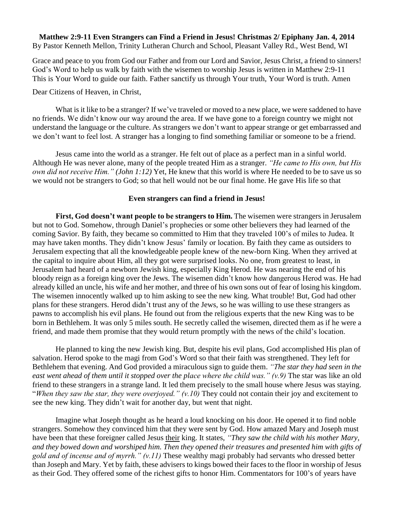**Matthew 2:9-11 Even Strangers can Find a Friend in Jesus! Christmas 2/ Epiphany Jan. 4, 2014** By Pastor Kenneth Mellon, Trinity Lutheran Church and School, Pleasant Valley Rd., West Bend, WI

Grace and peace to you from God our Father and from our Lord and Savior, Jesus Christ, a friend to sinners! God's Word to help us walk by faith with the wisemen to worship Jesus is written in Matthew 2:9-11 This is Your Word to guide our faith. Father sanctify us through Your truth, Your Word is truth. Amen

Dear Citizens of Heaven, in Christ,

What is it like to be a stranger? If we've traveled or moved to a new place, we were saddened to have no friends. We didn't know our way around the area. If we have gone to a foreign country we might not understand the language or the culture. As strangers we don't want to appear strange or get embarrassed and we don't want to feel lost. A stranger has a longing to find something familiar or someone to be a friend.

Jesus came into the world as a stranger. He felt out of place as a perfect man in a sinful world. Although He was never alone, many of the people treated Him as a stranger. *"He came to His own, but His own did not receive Him." (John 1:12)* Yet, He knew that this world is where He needed to be to save us so we would not be strangers to God; so that hell would not be our final home. He gave His life so that

## **Even strangers can find a friend in Jesus!**

**First, God doesn't want people to be strangers to Him.** The wisemen were strangers in Jerusalem but not to God. Somehow, through Daniel's prophecies or some other believers they had learned of the coming Savior. By faith, they became so committed to Him that they traveled 100's of miles to Judea. It may have taken months. They didn't know Jesus' family or location. By faith they came as outsiders to Jerusalem expecting that all the knowledgeable people knew of the new-born King. When they arrived at the capital to inquire about Him, all they got were surprised looks. No one, from greatest to least, in Jerusalem had heard of a newborn Jewish king, especially King Herod. He was nearing the end of his bloody reign as a foreign king over the Jews. The wisemen didn't know how dangerous Herod was. He had already killed an uncle, his wife and her mother, and three of his own sons out of fear of losing his kingdom. The wisemen innocently walked up to him asking to see the new king. What trouble! But, God had other plans for these strangers. Herod didn't trust any of the Jews, so he was willing to use these strangers as pawns to accomplish his evil plans. He found out from the religious experts that the new King was to be born in Bethlehem. It was only 5 miles south. He secretly called the wisemen, directed them as if he were a friend, and made them promise that they would return promptly with the news of the child's location.

He planned to king the new Jewish king. But, despite his evil plans, God accomplished His plan of salvation. Herod spoke to the magi from God's Word so that their faith was strengthened. They left for Bethlehem that evening. And God provided a miraculous sign to guide them. *"The star they had seen in the east went ahead of them until it stopped over the place where the child was." (v.9)* The star was like an old friend to these strangers in a strange land. It led them precisely to the small house where Jesus was staying. "When they saw the star, they were overjoyed."  $(v.10)$  They could not contain their joy and excitement to see the new king. They didn't wait for another day, but went that night.

Imagine what Joseph thought as he heard a loud knocking on his door. He opened it to find noble strangers. Somehow they convinced him that they were sent by God. How amazed Mary and Joseph must have been that these foreigner called Jesus their king. It states, *"They saw the child with his mother Mary, and they bowed down and worshiped him. Then they opened their treasures and presented him with gifts of gold and of incense and of myrrh." (v.11)* These wealthy magi probably had servants who dressed better than Joseph and Mary. Yet by faith, these advisers to kings bowed their faces to the floor in worship of Jesus as their God. They offered some of the richest gifts to honor Him. Commentators for 100's of years have